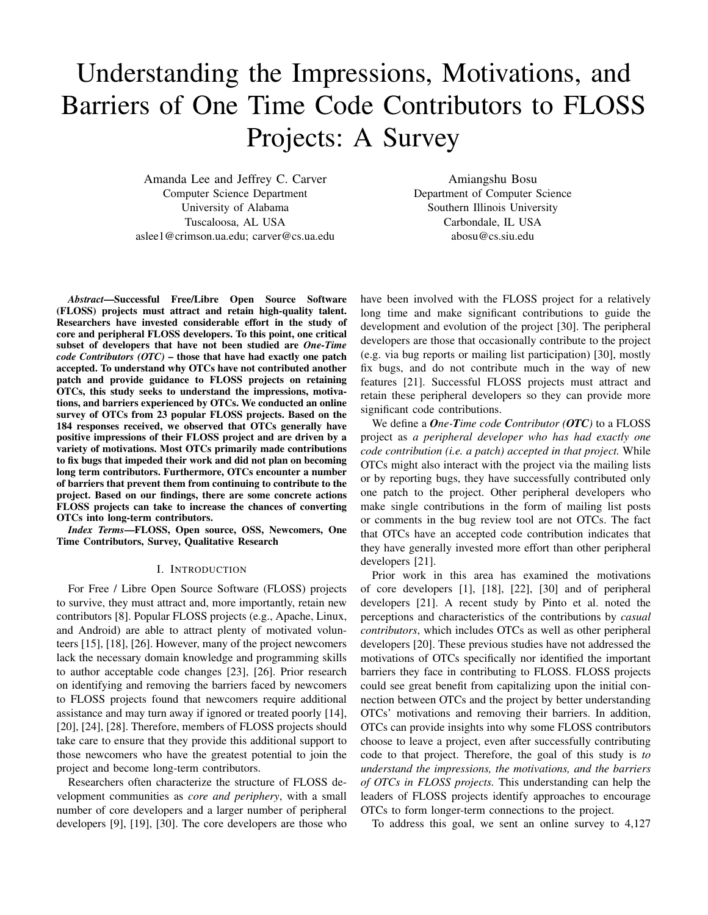# Understanding the Impressions, Motivations, and Barriers of One Time Code Contributors to FLOSS Projects: A Survey

Amanda Lee and Jeffrey C. Carver Computer Science Department University of Alabama Tuscaloosa, AL USA aslee1@crimson.ua.edu; carver@cs.ua.edu

Amiangshu Bosu Department of Computer Science Southern Illinois University Carbondale, IL USA abosu@cs.siu.edu

*Abstract*—Successful Free/Libre Open Source Software (FLOSS) projects must attract and retain high-quality talent. Researchers have invested considerable effort in the study of core and peripheral FLOSS developers. To this point, one critical subset of developers that have not been studied are *One-Time code Contributors (OTC)* – those that have had exactly one patch accepted. To understand why OTCs have not contributed another patch and provide guidance to FLOSS projects on retaining OTCs, this study seeks to understand the impressions, motivations, and barriers experienced by OTCs. We conducted an online survey of OTCs from 23 popular FLOSS projects. Based on the 184 responses received, we observed that OTCs generally have positive impressions of their FLOSS project and are driven by a variety of motivations. Most OTCs primarily made contributions to fix bugs that impeded their work and did not plan on becoming long term contributors. Furthermore, OTCs encounter a number of barriers that prevent them from continuing to contribute to the project. Based on our findings, there are some concrete actions FLOSS projects can take to increase the chances of converting OTCs into long-term contributors.

*Index Terms*—FLOSS, Open source, OSS, Newcomers, One Time Contributors, Survey, Qualitative Research

#### I. INTRODUCTION

For Free / Libre Open Source Software (FLOSS) projects to survive, they must attract and, more importantly, retain new contributors [8]. Popular FLOSS projects (e.g., Apache, Linux, and Android) are able to attract plenty of motivated volunteers [15], [18], [26]. However, many of the project newcomers lack the necessary domain knowledge and programming skills to author acceptable code changes [23], [26]. Prior research on identifying and removing the barriers faced by newcomers to FLOSS projects found that newcomers require additional assistance and may turn away if ignored or treated poorly [14], [20], [24], [28]. Therefore, members of FLOSS projects should take care to ensure that they provide this additional support to those newcomers who have the greatest potential to join the project and become long-term contributors.

Researchers often characterize the structure of FLOSS development communities as *core and periphery*, with a small number of core developers and a larger number of peripheral developers [9], [19], [30]. The core developers are those who have been involved with the FLOSS project for a relatively long time and make significant contributions to guide the development and evolution of the project [30]. The peripheral developers are those that occasionally contribute to the project (e.g. via bug reports or mailing list participation) [30], mostly fix bugs, and do not contribute much in the way of new features [21]. Successful FLOSS projects must attract and retain these peripheral developers so they can provide more significant code contributions.

We define a *One-Time code Contributor (OTC)* to a FLOSS project as *a peripheral developer who has had exactly one code contribution (i.e. a patch) accepted in that project.* While OTCs might also interact with the project via the mailing lists or by reporting bugs, they have successfully contributed only one patch to the project. Other peripheral developers who make single contributions in the form of mailing list posts or comments in the bug review tool are not OTCs. The fact that OTCs have an accepted code contribution indicates that they have generally invested more effort than other peripheral developers [21].

Prior work in this area has examined the motivations of core developers [1], [18], [22], [30] and of peripheral developers [21]. A recent study by Pinto et al. noted the perceptions and characteristics of the contributions by *casual contributors*, which includes OTCs as well as other peripheral developers [20]. These previous studies have not addressed the motivations of OTCs specifically nor identified the important barriers they face in contributing to FLOSS. FLOSS projects could see great benefit from capitalizing upon the initial connection between OTCs and the project by better understanding OTCs' motivations and removing their barriers. In addition, OTCs can provide insights into why some FLOSS contributors choose to leave a project, even after successfully contributing code to that project. Therefore, the goal of this study is *to understand the impressions, the motivations, and the barriers of OTCs in FLOSS projects.* This understanding can help the leaders of FLOSS projects identify approaches to encourage OTCs to form longer-term connections to the project.

To address this goal, we sent an online survey to 4,127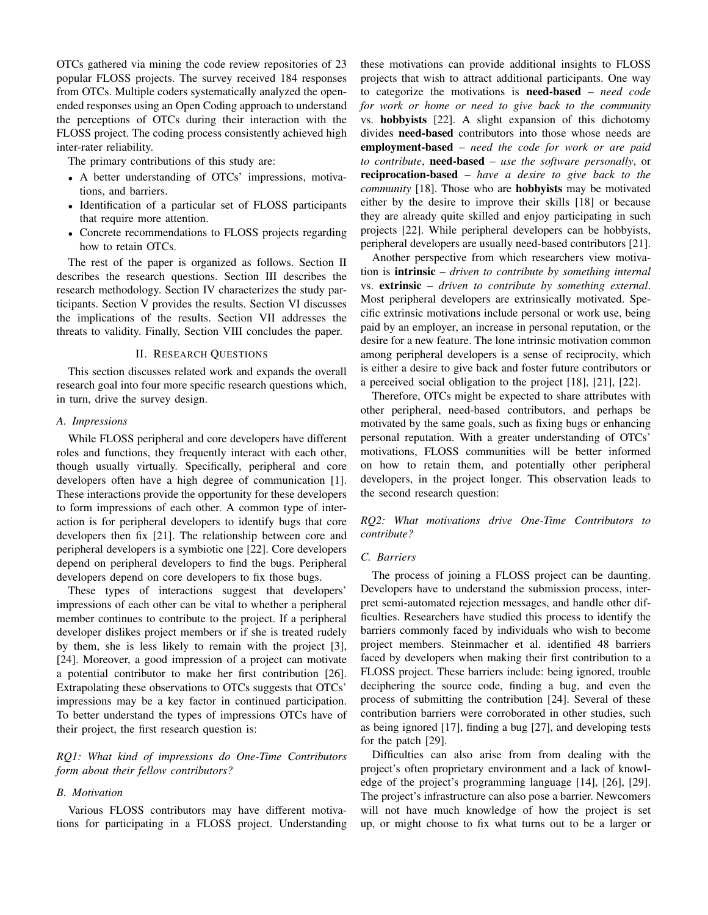OTCs gathered via mining the code review repositories of 23 popular FLOSS projects. The survey received 184 responses from OTCs. Multiple coders systematically analyzed the openended responses using an Open Coding approach to understand the perceptions of OTCs during their interaction with the FLOSS project. The coding process consistently achieved high inter-rater reliability.

The primary contributions of this study are:

- A better understanding of OTCs' impressions, motivations, and barriers.
- Identification of a particular set of FLOSS participants that require more attention.
- Concrete recommendations to FLOSS projects regarding how to retain OTCs.

The rest of the paper is organized as follows. Section II describes the research questions. Section III describes the research methodology. Section IV characterizes the study participants. Section V provides the results. Section VI discusses the implications of the results. Section VII addresses the threats to validity. Finally, Section VIII concludes the paper.

## II. RESEARCH QUESTIONS

This section discusses related work and expands the overall research goal into four more specific research questions which, in turn, drive the survey design.

## *A. Impressions*

While FLOSS peripheral and core developers have different roles and functions, they frequently interact with each other, though usually virtually. Specifically, peripheral and core developers often have a high degree of communication [1]. These interactions provide the opportunity for these developers to form impressions of each other. A common type of interaction is for peripheral developers to identify bugs that core developers then fix [21]. The relationship between core and peripheral developers is a symbiotic one [22]. Core developers depend on peripheral developers to find the bugs. Peripheral developers depend on core developers to fix those bugs.

These types of interactions suggest that developers' impressions of each other can be vital to whether a peripheral member continues to contribute to the project. If a peripheral developer dislikes project members or if she is treated rudely by them, she is less likely to remain with the project [3], [24]. Moreover, a good impression of a project can motivate a potential contributor to make her first contribution [26]. Extrapolating these observations to OTCs suggests that OTCs' impressions may be a key factor in continued participation. To better understand the types of impressions OTCs have of their project, the first research question is:

*RQ1: What kind of impressions do One-Time Contributors form about their fellow contributors?*

## *B. Motivation*

Various FLOSS contributors may have different motivations for participating in a FLOSS project. Understanding

these motivations can provide additional insights to FLOSS projects that wish to attract additional participants. One way to categorize the motivations is need-based – *need code for work or home or need to give back to the community* vs. hobbyists [22]. A slight expansion of this dichotomy divides need-based contributors into those whose needs are employment-based – *need the code for work or are paid to contribute*, need-based – *use the software personally*, or reciprocation-based – *have a desire to give back to the community* [18]. Those who are hobbyists may be motivated either by the desire to improve their skills [18] or because they are already quite skilled and enjoy participating in such projects [22]. While peripheral developers can be hobbyists, peripheral developers are usually need-based contributors [21].

Another perspective from which researchers view motivation is intrinsic – *driven to contribute by something internal* vs. extrinsic – *driven to contribute by something external*. Most peripheral developers are extrinsically motivated. Specific extrinsic motivations include personal or work use, being paid by an employer, an increase in personal reputation, or the desire for a new feature. The lone intrinsic motivation common among peripheral developers is a sense of reciprocity, which is either a desire to give back and foster future contributors or a perceived social obligation to the project [18], [21], [22].

Therefore, OTCs might be expected to share attributes with other peripheral, need-based contributors, and perhaps be motivated by the same goals, such as fixing bugs or enhancing personal reputation. With a greater understanding of OTCs' motivations, FLOSS communities will be better informed on how to retain them, and potentially other peripheral developers, in the project longer. This observation leads to the second research question:

*RQ2: What motivations drive One-Time Contributors to contribute?*

# *C. Barriers*

The process of joining a FLOSS project can be daunting. Developers have to understand the submission process, interpret semi-automated rejection messages, and handle other difficulties. Researchers have studied this process to identify the barriers commonly faced by individuals who wish to become project members. Steinmacher et al. identified 48 barriers faced by developers when making their first contribution to a FLOSS project. These barriers include: being ignored, trouble deciphering the source code, finding a bug, and even the process of submitting the contribution [24]. Several of these contribution barriers were corroborated in other studies, such as being ignored [17], finding a bug [27], and developing tests for the patch [29].

Difficulties can also arise from from dealing with the project's often proprietary environment and a lack of knowledge of the project's programming language [14], [26], [29]. The project's infrastructure can also pose a barrier. Newcomers will not have much knowledge of how the project is set up, or might choose to fix what turns out to be a larger or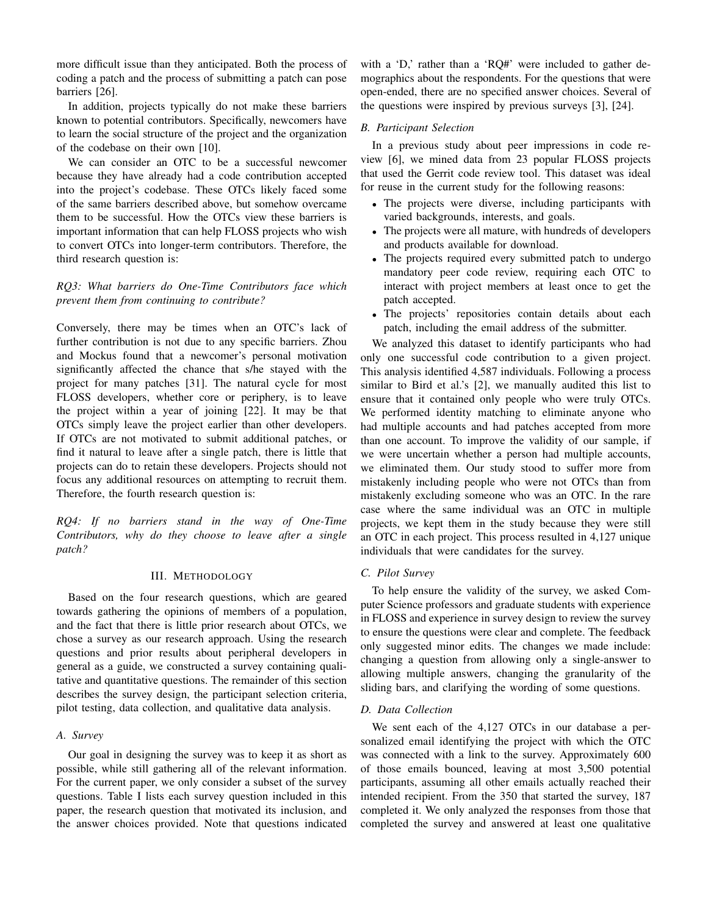more difficult issue than they anticipated. Both the process of coding a patch and the process of submitting a patch can pose barriers [26].

In addition, projects typically do not make these barriers known to potential contributors. Specifically, newcomers have to learn the social structure of the project and the organization of the codebase on their own [10].

We can consider an OTC to be a successful newcomer because they have already had a code contribution accepted into the project's codebase. These OTCs likely faced some of the same barriers described above, but somehow overcame them to be successful. How the OTCs view these barriers is important information that can help FLOSS projects who wish to convert OTCs into longer-term contributors. Therefore, the third research question is:

# *RQ3: What barriers do One-Time Contributors face which prevent them from continuing to contribute?*

Conversely, there may be times when an OTC's lack of further contribution is not due to any specific barriers. Zhou and Mockus found that a newcomer's personal motivation significantly affected the chance that s/he stayed with the project for many patches [31]. The natural cycle for most FLOSS developers, whether core or periphery, is to leave the project within a year of joining [22]. It may be that OTCs simply leave the project earlier than other developers. If OTCs are not motivated to submit additional patches, or find it natural to leave after a single patch, there is little that projects can do to retain these developers. Projects should not focus any additional resources on attempting to recruit them. Therefore, the fourth research question is:

*RQ4: If no barriers stand in the way of One-Time Contributors, why do they choose to leave after a single patch?*

## III. METHODOLOGY

Based on the four research questions, which are geared towards gathering the opinions of members of a population, and the fact that there is little prior research about OTCs, we chose a survey as our research approach. Using the research questions and prior results about peripheral developers in general as a guide, we constructed a survey containing qualitative and quantitative questions. The remainder of this section describes the survey design, the participant selection criteria, pilot testing, data collection, and qualitative data analysis.

# *A. Survey*

Our goal in designing the survey was to keep it as short as possible, while still gathering all of the relevant information. For the current paper, we only consider a subset of the survey questions. Table I lists each survey question included in this paper, the research question that motivated its inclusion, and the answer choices provided. Note that questions indicated with a 'D,' rather than a 'RQ#' were included to gather demographics about the respondents. For the questions that were open-ended, there are no specified answer choices. Several of the questions were inspired by previous surveys [3], [24].

## *B. Participant Selection*

In a previous study about peer impressions in code review [6], we mined data from 23 popular FLOSS projects that used the Gerrit code review tool. This dataset was ideal for reuse in the current study for the following reasons:

- The projects were diverse, including participants with varied backgrounds, interests, and goals.
- The projects were all mature, with hundreds of developers and products available for download.
- The projects required every submitted patch to undergo mandatory peer code review, requiring each OTC to interact with project members at least once to get the patch accepted.
- The projects' repositories contain details about each patch, including the email address of the submitter.

We analyzed this dataset to identify participants who had only one successful code contribution to a given project. This analysis identified 4,587 individuals. Following a process similar to Bird et al.'s [2], we manually audited this list to ensure that it contained only people who were truly OTCs. We performed identity matching to eliminate anyone who had multiple accounts and had patches accepted from more than one account. To improve the validity of our sample, if we were uncertain whether a person had multiple accounts, we eliminated them. Our study stood to suffer more from mistakenly including people who were not OTCs than from mistakenly excluding someone who was an OTC. In the rare case where the same individual was an OTC in multiple projects, we kept them in the study because they were still an OTC in each project. This process resulted in 4,127 unique individuals that were candidates for the survey.

## *C. Pilot Survey*

To help ensure the validity of the survey, we asked Computer Science professors and graduate students with experience in FLOSS and experience in survey design to review the survey to ensure the questions were clear and complete. The feedback only suggested minor edits. The changes we made include: changing a question from allowing only a single-answer to allowing multiple answers, changing the granularity of the sliding bars, and clarifying the wording of some questions.

#### *D. Data Collection*

We sent each of the 4,127 OTCs in our database a personalized email identifying the project with which the OTC was connected with a link to the survey. Approximately 600 of those emails bounced, leaving at most 3,500 potential participants, assuming all other emails actually reached their intended recipient. From the 350 that started the survey, 187 completed it. We only analyzed the responses from those that completed the survey and answered at least one qualitative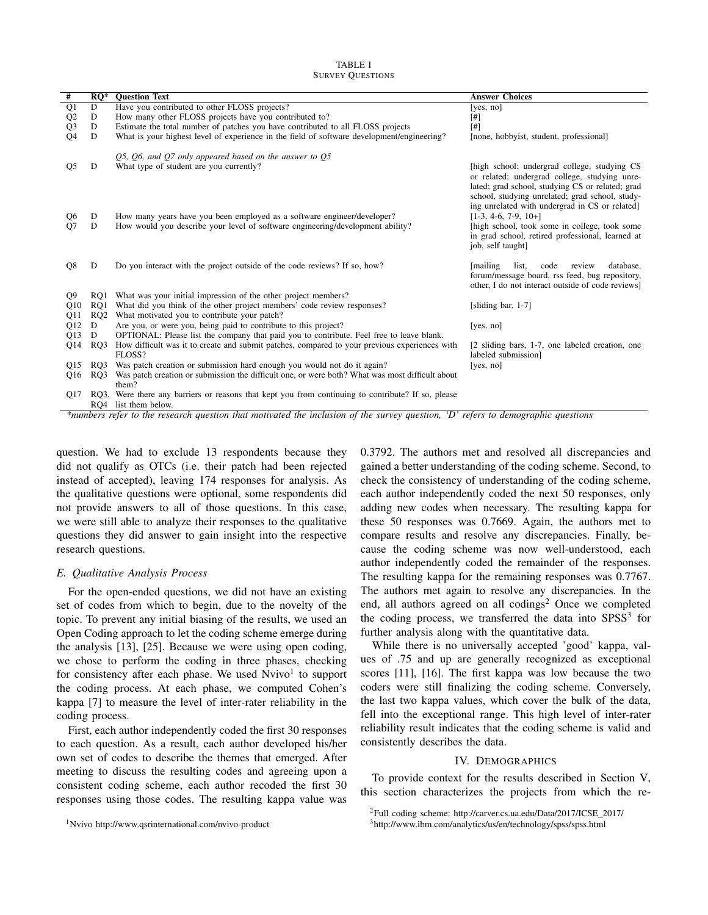TABLE I SURVEY QUESTIONS

| #                | $\mathbf{R}\mathbf{Q}^*$ | <b>Question Text</b>                                                                                         | <b>Answer Choices</b>                                                                                                                                                                                                                                  |
|------------------|--------------------------|--------------------------------------------------------------------------------------------------------------|--------------------------------------------------------------------------------------------------------------------------------------------------------------------------------------------------------------------------------------------------------|
| $\overline{Q1}$  | D                        | Have you contributed to other FLOSS projects?                                                                | [ $yes, no$ ]                                                                                                                                                                                                                                          |
| Q2               | D                        | How many other FLOSS projects have you contributed to?                                                       | [#]                                                                                                                                                                                                                                                    |
| $\overline{Q}$ 3 | D                        | Estimate the total number of patches you have contributed to all FLOSS projects                              | [#]                                                                                                                                                                                                                                                    |
| Q <sub>4</sub>   | D                        | What is your highest level of experience in the field of software development/engineering?                   | [none, hobbyist, student, professional]                                                                                                                                                                                                                |
|                  |                          | $Q$ 5, $Q$ 6, and $Q$ 7 only appeared based on the answer to $Q$ 5                                           |                                                                                                                                                                                                                                                        |
| Q <sub>5</sub>   | D                        | What type of student are you currently?                                                                      | [high school; undergrad college, studying CS<br>or related; undergrad college, studying unre-<br>lated; grad school, studying CS or related; grad<br>school, studying unrelated; grad school, study-<br>ing unrelated with undergrad in CS or related] |
| Q6               | D                        | How many years have you been employed as a software engineer/developer?                                      | $[1-3, 4-6, 7-9, 10+]$                                                                                                                                                                                                                                 |
| Q7               | D                        | How would you describe your level of software engineering/development ability?                               | [high school, took some in college, took some<br>in grad school, retired professional, learned at<br>job, self taught]                                                                                                                                 |
| Q8               | D                        | Do you interact with the project outside of the code reviews? If so, how?                                    | [mailing]<br>list.<br>review<br>database.<br>code<br>forum/message board, rss feed, bug repository,<br>other, I do not interact outside of code reviews]                                                                                               |
| Q <sub>9</sub>   | RQ1                      | What was your initial impression of the other project members?                                               |                                                                                                                                                                                                                                                        |
| Q10              |                          | RQ1 What did you think of the other project members' code review responses?                                  | [sliding bar, $1-7$ ]                                                                                                                                                                                                                                  |
| Q11              | RO2                      | What motivated you to contribute your patch?                                                                 |                                                                                                                                                                                                                                                        |
| Q12              | D                        | Are you, or were you, being paid to contribute to this project?                                              | [yes, no]                                                                                                                                                                                                                                              |
| Q13              | D                        | OPTIONAL: Please list the company that paid you to contribute. Feel free to leave blank.                     |                                                                                                                                                                                                                                                        |
| Q14              |                          | RQ3 How difficult was it to create and submit patches, compared to your previous experiences with            | [2 sliding bars, 1-7, one labeled creation, one                                                                                                                                                                                                        |
|                  |                          | FLOSS?                                                                                                       | labeled submission]                                                                                                                                                                                                                                    |
| O15              |                          | RQ3 Was patch creation or submission hard enough you would not do it again?                                  | [ves, no]                                                                                                                                                                                                                                              |
| Q16              |                          | RQ3 Was patch creation or submission the difficult one, or were both? What was most difficult about<br>them? |                                                                                                                                                                                                                                                        |
| O <sub>17</sub>  |                          | RO3, Were there any barriers or reasons that kept you from continuing to contribute? If so, please           |                                                                                                                                                                                                                                                        |
|                  | RO4                      | list them below.                                                                                             |                                                                                                                                                                                                                                                        |

*\*numbers refer to the research question that motivated the inclusion of the survey question, 'D' refers to demographic questions*

question. We had to exclude 13 respondents because they did not qualify as OTCs (i.e. their patch had been rejected instead of accepted), leaving 174 responses for analysis. As the qualitative questions were optional, some respondents did not provide answers to all of those questions. In this case, we were still able to analyze their responses to the qualitative questions they did answer to gain insight into the respective research questions.

#### *E. Qualitative Analysis Process*

For the open-ended questions, we did not have an existing set of codes from which to begin, due to the novelty of the topic. To prevent any initial biasing of the results, we used an Open Coding approach to let the coding scheme emerge during the analysis [13], [25]. Because we were using open coding, we chose to perform the coding in three phases, checking for consistency after each phase. We used Nvivo<sup>1</sup> to support the coding process. At each phase, we computed Cohen's kappa [7] to measure the level of inter-rater reliability in the coding process.

First, each author independently coded the first 30 responses to each question. As a result, each author developed his/her own set of codes to describe the themes that emerged. After meeting to discuss the resulting codes and agreeing upon a consistent coding scheme, each author recoded the first 30 responses using those codes. The resulting kappa value was

<sup>1</sup>Nvivo http://www.qsrinternational.com/nvivo-product

0.3792. The authors met and resolved all discrepancies and gained a better understanding of the coding scheme. Second, to check the consistency of understanding of the coding scheme, each author independently coded the next 50 responses, only adding new codes when necessary. The resulting kappa for these 50 responses was 0.7669. Again, the authors met to compare results and resolve any discrepancies. Finally, because the coding scheme was now well-understood, each author independently coded the remainder of the responses. The resulting kappa for the remaining responses was 0.7767. The authors met again to resolve any discrepancies. In the end, all authors agreed on all codings<sup>2</sup> Once we completed the coding process, we transferred the data into SPSS<sup>3</sup> for further analysis along with the quantitative data.

While there is no universally accepted 'good' kappa, values of .75 and up are generally recognized as exceptional scores [11], [16]. The first kappa was low because the two coders were still finalizing the coding scheme. Conversely, the last two kappa values, which cover the bulk of the data, fell into the exceptional range. This high level of inter-rater reliability result indicates that the coding scheme is valid and consistently describes the data.

#### IV. DEMOGRAPHICS

To provide context for the results described in Section V, this section characterizes the projects from which the re-

<sup>&</sup>lt;sup>2</sup>Full coding scheme: http://carver.cs.ua.edu/Data/2017/ICSE\_2017/

<sup>3</sup>http://www.ibm.com/analytics/us/en/technology/spss/spss.html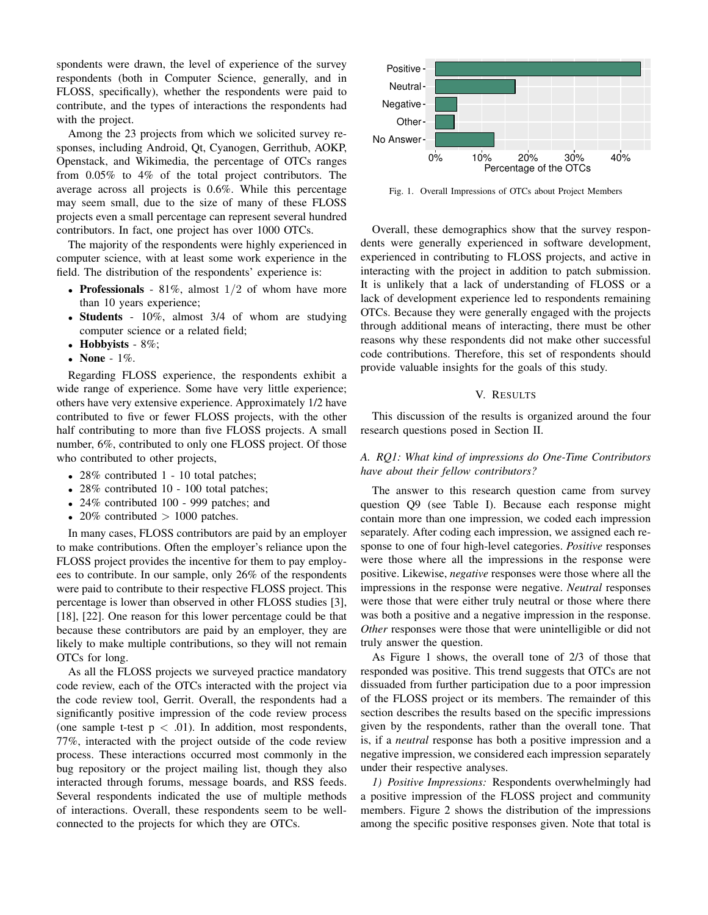spondents were drawn, the level of experience of the survey respondents (both in Computer Science, generally, and in FLOSS, specifically), whether the respondents were paid to contribute, and the types of interactions the respondents had with the project.

Among the 23 projects from which we solicited survey responses, including Android, Qt, Cyanogen, Gerrithub, AOKP, Openstack, and Wikimedia, the percentage of OTCs ranges from 0.05% to 4% of the total project contributors. The average across all projects is 0.6%. While this percentage may seem small, due to the size of many of these FLOSS projects even a small percentage can represent several hundred contributors. In fact, one project has over 1000 OTCs.

The majority of the respondents were highly experienced in computer science, with at least some work experience in the field. The distribution of the respondents' experience is:

- Professionals 81%, almost  $1/2$  of whom have more than 10 years experience;
- Students 10%, almost 3/4 of whom are studying computer science or a related field;
- Hobbyists  $8\%$ ;
- None  $1\%$ .

Regarding FLOSS experience, the respondents exhibit a wide range of experience. Some have very little experience; others have very extensive experience. Approximately 1/2 have contributed to five or fewer FLOSS projects, with the other half contributing to more than five FLOSS projects. A small number, 6%, contributed to only one FLOSS project. Of those who contributed to other projects,

- 28% contributed 1 10 total patches;
- 28% contributed 10 100 total patches;
- 24% contributed 100 999 patches; and
- 20% contributed  $> 1000$  patches.

In many cases, FLOSS contributors are paid by an employer to make contributions. Often the employer's reliance upon the FLOSS project provides the incentive for them to pay employees to contribute. In our sample, only 26% of the respondents were paid to contribute to their respective FLOSS project. This percentage is lower than observed in other FLOSS studies [3], [18], [22]. One reason for this lower percentage could be that because these contributors are paid by an employer, they are likely to make multiple contributions, so they will not remain OTCs for long.

As all the FLOSS projects we surveyed practice mandatory code review, each of the OTCs interacted with the project via the code review tool, Gerrit. Overall, the respondents had a significantly positive impression of the code review process (one sample t-test  $p < .01$ ). In addition, most respondents, 77%, interacted with the project outside of the code review process. These interactions occurred most commonly in the bug repository or the project mailing list, though they also interacted through forums, message boards, and RSS feeds. Several respondents indicated the use of multiple methods of interactions. Overall, these respondents seem to be wellconnected to the projects for which they are OTCs.



Fig. 1. Overall Impressions of OTCs about Project Members

Overall, these demographics show that the survey respondents were generally experienced in software development, experienced in contributing to FLOSS projects, and active in interacting with the project in addition to patch submission. It is unlikely that a lack of understanding of FLOSS or a lack of development experience led to respondents remaining OTCs. Because they were generally engaged with the projects through additional means of interacting, there must be other reasons why these respondents did not make other successful code contributions. Therefore, this set of respondents should provide valuable insights for the goals of this study.

## V. RESULTS

This discussion of the results is organized around the four research questions posed in Section II.

# *A. RQ1: What kind of impressions do One-Time Contributors have about their fellow contributors?*

The answer to this research question came from survey question Q9 (see Table I). Because each response might contain more than one impression, we coded each impression separately. After coding each impression, we assigned each response to one of four high-level categories. *Positive* responses were those where all the impressions in the response were positive. Likewise, *negative* responses were those where all the impressions in the response were negative. *Neutral* responses were those that were either truly neutral or those where there was both a positive and a negative impression in the response. *Other* responses were those that were unintelligible or did not truly answer the question.

As Figure 1 shows, the overall tone of 2/3 of those that responded was positive. This trend suggests that OTCs are not dissuaded from further participation due to a poor impression of the FLOSS project or its members. The remainder of this section describes the results based on the specific impressions given by the respondents, rather than the overall tone. That is, if a *neutral* response has both a positive impression and a negative impression, we considered each impression separately under their respective analyses.

*1) Positive Impressions:* Respondents overwhelmingly had a positive impression of the FLOSS project and community members. Figure 2 shows the distribution of the impressions among the specific positive responses given. Note that total is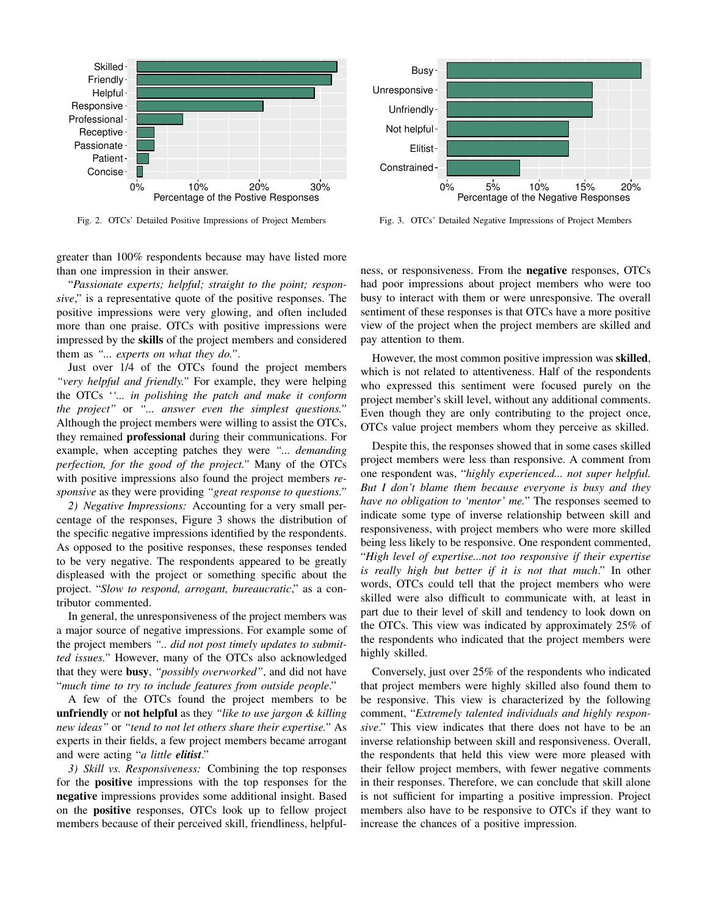

Fig. 2. OTCs' Detailed Positive Impressions of Project Members

greater than 100% respondents because may have listed more than one impression in their answer.

"*Passionate experts; helpful; straight to the point; responsive*," is a representative quote of the positive responses. The positive impressions were very glowing, and often included more than one praise. OTCs with positive impressions were impressed by the skills of the project members and considered them as *"... experts on what they do."*.

Just over 1/4 of the OTCs found the project members *"very helpful and friendly."* For example, they were helping the OTCs '*'... in polishing the patch and make it conform the project"* or *"... answer even the simplest questions."* Although the project members were willing to assist the OTCs, they remained professional during their communications. For example, when accepting patches they were *"... demanding perfection, for the good of the project."* Many of the OTCs with positive impressions also found the project members *responsive* as they were providing *"great response to questions."*

*2) Negative Impressions:* Accounting for a very small percentage of the responses, Figure 3 shows the distribution of the specific negative impressions identified by the respondents. As opposed to the positive responses, these responses tended to be very negative. The respondents appeared to be greatly displeased with the project or something specific about the project. "*Slow to respond, arrogant, bureaucratic*," as a contributor commented.

In general, the unresponsiveness of the project members was a major source of negative impressions. For example some of the project members *".. did not post timely updates to submitted issues."* However, many of the OTCs also acknowledged that they were busy, *"possibly overworked"*, and did not have "*much time to try to include features from outside people*."

A few of the OTCs found the project members to be unfriendly or not helpful as they *"like to use jargon & killing new ideas"* or *"tend to not let others share their expertise."* As experts in their fields, a few project members became arrogant and were acting "*a little elitist*."

*3) Skill vs. Responsiveness:* Combining the top responses for the positive impressions with the top responses for the negative impressions provides some additional insight. Based on the positive responses, OTCs look up to fellow project members because of their perceived skill, friendliness, helpful-



Fig. 3. OTCs' Detailed Negative Impressions of Project Members

ness, or responsiveness. From the negative responses, OTCs had poor impressions about project members who were too busy to interact with them or were unresponsive. The overall sentiment of these responses is that OTCs have a more positive view of the project when the project members are skilled and pay attention to them.

However, the most common positive impression was skilled, which is not related to attentiveness. Half of the respondents who expressed this sentiment were focused purely on the project member's skill level, without any additional comments. Even though they are only contributing to the project once, OTCs value project members whom they perceive as skilled.

Despite this, the responses showed that in some cases skilled project members were less than responsive. A comment from one respondent was, "*highly experienced... not super helpful. But I don't blame them because everyone is busy and they have no obligation to 'mentor' me.*" The responses seemed to indicate some type of inverse relationship between skill and responsiveness, with project members who were more skilled being less likely to be responsive. One respondent commented, "*High level of expertise...not too responsive if their expertise is really high but better if it is not that much*." In other words, OTCs could tell that the project members who were skilled were also difficult to communicate with, at least in part due to their level of skill and tendency to look down on the OTCs. This view was indicated by approximately 25% of the respondents who indicated that the project members were highly skilled.

Conversely, just over 25% of the respondents who indicated that project members were highly skilled also found them to be responsive. This view is characterized by the following comment, "*Extremely talented individuals and highly responsive*." This view indicates that there does not have to be an inverse relationship between skill and responsiveness. Overall, the respondents that held this view were more pleased with their fellow project members, with fewer negative comments in their responses. Therefore, we can conclude that skill alone is not sufficient for imparting a positive impression. Project members also have to be responsive to OTCs if they want to increase the chances of a positive impression.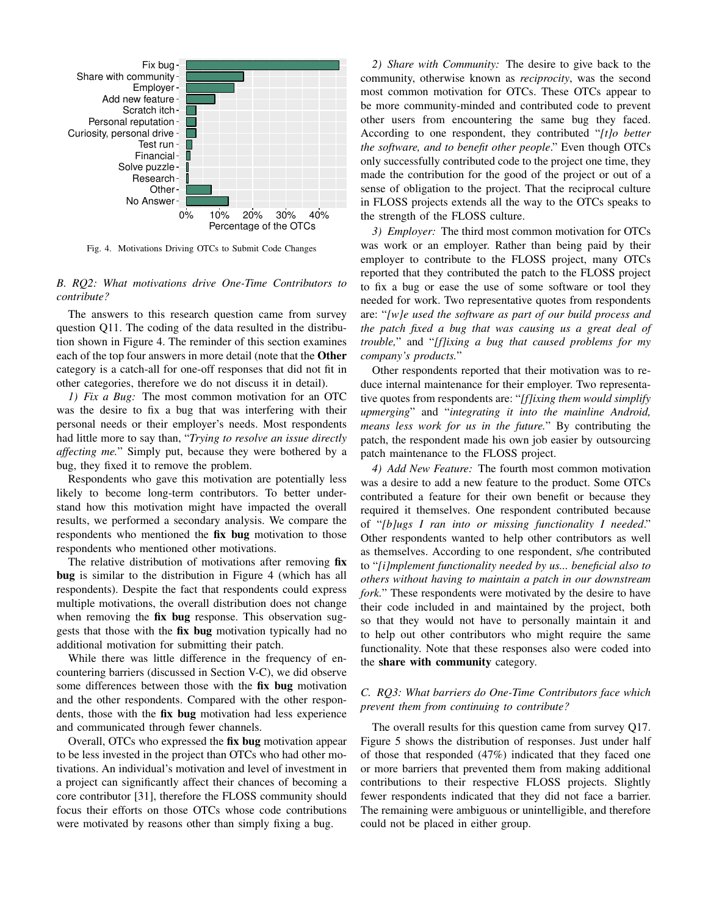

Fig. 4. Motivations Driving OTCs to Submit Code Changes

# *B. RQ2: What motivations drive One-Time Contributors to contribute?*

The answers to this research question came from survey question Q11. The coding of the data resulted in the distribution shown in Figure 4. The reminder of this section examines each of the top four answers in more detail (note that the **Other** category is a catch-all for one-off responses that did not fit in other categories, therefore we do not discuss it in detail).

*1) Fix a Bug:* The most common motivation for an OTC was the desire to fix a bug that was interfering with their personal needs or their employer's needs. Most respondents had little more to say than, "*Trying to resolve an issue directly affecting me.*" Simply put, because they were bothered by a bug, they fixed it to remove the problem.

Respondents who gave this motivation are potentially less likely to become long-term contributors. To better understand how this motivation might have impacted the overall results, we performed a secondary analysis. We compare the respondents who mentioned the fix bug motivation to those respondents who mentioned other motivations.

The relative distribution of motivations after removing fix bug is similar to the distribution in Figure 4 (which has all respondents). Despite the fact that respondents could express multiple motivations, the overall distribution does not change when removing the fix bug response. This observation suggests that those with the fix bug motivation typically had no additional motivation for submitting their patch.

While there was little difference in the frequency of encountering barriers (discussed in Section V-C), we did observe some differences between those with the fix bug motivation and the other respondents. Compared with the other respondents, those with the fix bug motivation had less experience and communicated through fewer channels.

Overall, OTCs who expressed the fix bug motivation appear to be less invested in the project than OTCs who had other motivations. An individual's motivation and level of investment in a project can significantly affect their chances of becoming a core contributor [31], therefore the FLOSS community should focus their efforts on those OTCs whose code contributions were motivated by reasons other than simply fixing a bug.

*2) Share with Community:* The desire to give back to the community, otherwise known as *reciprocity*, was the second most common motivation for OTCs. These OTCs appear to be more community-minded and contributed code to prevent other users from encountering the same bug they faced. According to one respondent, they contributed "*[t]o better the software, and to benefit other people*." Even though OTCs only successfully contributed code to the project one time, they made the contribution for the good of the project or out of a sense of obligation to the project. That the reciprocal culture in FLOSS projects extends all the way to the OTCs speaks to the strength of the FLOSS culture.

*3) Employer:* The third most common motivation for OTCs was work or an employer. Rather than being paid by their employer to contribute to the FLOSS project, many OTCs reported that they contributed the patch to the FLOSS project to fix a bug or ease the use of some software or tool they needed for work. Two representative quotes from respondents are: "*[w]e used the software as part of our build process and the patch fixed a bug that was causing us a great deal of trouble,*" and "*[f]ixing a bug that caused problems for my company's products.*"

Other respondents reported that their motivation was to reduce internal maintenance for their employer. Two representative quotes from respondents are: "*[f]ixing them would simplify upmerging*" and "*integrating it into the mainline Android, means less work for us in the future.*" By contributing the patch, the respondent made his own job easier by outsourcing patch maintenance to the FLOSS project.

*4) Add New Feature:* The fourth most common motivation was a desire to add a new feature to the product. Some OTCs contributed a feature for their own benefit or because they required it themselves. One respondent contributed because of "*[b]ugs I ran into or missing functionality I needed*." Other respondents wanted to help other contributors as well as themselves. According to one respondent, s/he contributed to "*[i]mplement functionality needed by us... beneficial also to others without having to maintain a patch in our downstream fork.*" These respondents were motivated by the desire to have their code included in and maintained by the project, both so that they would not have to personally maintain it and to help out other contributors who might require the same functionality. Note that these responses also were coded into the share with community category.

# *C. RQ3: What barriers do One-Time Contributors face which prevent them from continuing to contribute?*

The overall results for this question came from survey Q17. Figure 5 shows the distribution of responses. Just under half of those that responded (47%) indicated that they faced one or more barriers that prevented them from making additional contributions to their respective FLOSS projects. Slightly fewer respondents indicated that they did not face a barrier. The remaining were ambiguous or unintelligible, and therefore could not be placed in either group.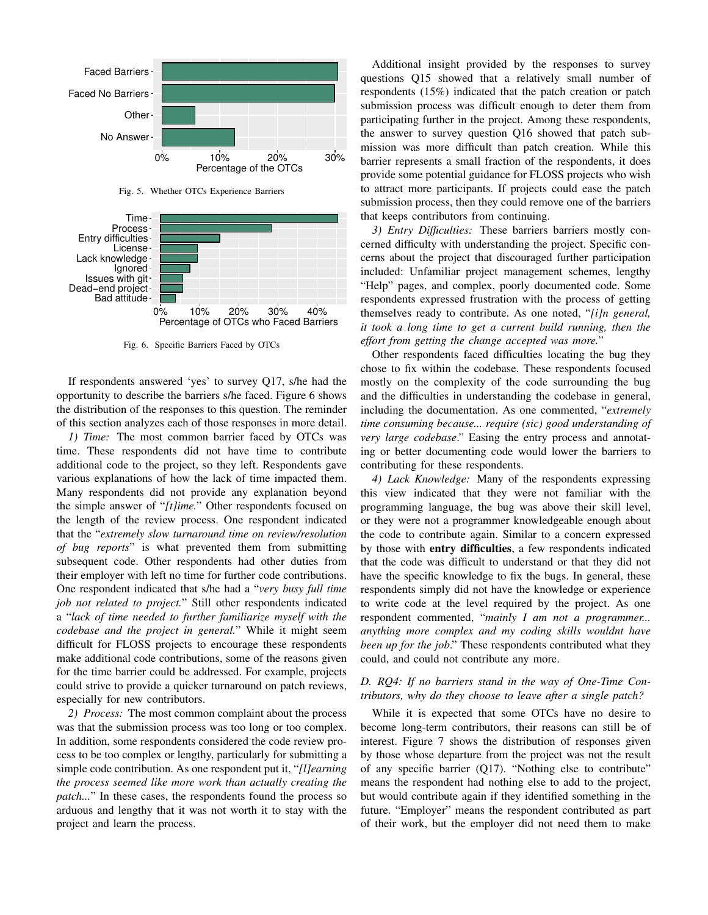

Fig. 5. Whether OTCs Experience Barriers



Fig. 6. Specific Barriers Faced by OTCs

If respondents answered 'yes' to survey Q17, s/he had the opportunity to describe the barriers s/he faced. Figure 6 shows the distribution of the responses to this question. The reminder of this section analyzes each of those responses in more detail.

*1) Time:* The most common barrier faced by OTCs was time. These respondents did not have time to contribute additional code to the project, so they left. Respondents gave various explanations of how the lack of time impacted them. Many respondents did not provide any explanation beyond the simple answer of "*[t]ime.*" Other respondents focused on the length of the review process. One respondent indicated that the "*extremely slow turnaround time on review/resolution of bug reports*" is what prevented them from submitting subsequent code. Other respondents had other duties from their employer with left no time for further code contributions. One respondent indicated that s/he had a "*very busy full time job not related to project.*" Still other respondents indicated a "*lack of time needed to further familiarize myself with the codebase and the project in general.*" While it might seem difficult for FLOSS projects to encourage these respondents make additional code contributions, some of the reasons given for the time barrier could be addressed. For example, projects could strive to provide a quicker turnaround on patch reviews, especially for new contributors.

*2) Process:* The most common complaint about the process was that the submission process was too long or too complex. In addition, some respondents considered the code review process to be too complex or lengthy, particularly for submitting a simple code contribution. As one respondent put it, "*[l]earning the process seemed like more work than actually creating the patch...*" In these cases, the respondents found the process so arduous and lengthy that it was not worth it to stay with the project and learn the process.

Additional insight provided by the responses to survey questions Q15 showed that a relatively small number of respondents (15%) indicated that the patch creation or patch submission process was difficult enough to deter them from participating further in the project. Among these respondents, the answer to survey question Q16 showed that patch submission was more difficult than patch creation. While this barrier represents a small fraction of the respondents, it does provide some potential guidance for FLOSS projects who wish to attract more participants. If projects could ease the patch submission process, then they could remove one of the barriers that keeps contributors from continuing.

*3) Entry Difficulties:* These barriers barriers mostly concerned difficulty with understanding the project. Specific concerns about the project that discouraged further participation included: Unfamiliar project management schemes, lengthy "Help" pages, and complex, poorly documented code. Some respondents expressed frustration with the process of getting themselves ready to contribute. As one noted, "*[i]n general, it took a long time to get a current build running, then the effort from getting the change accepted was more.*"

Other respondents faced difficulties locating the bug they chose to fix within the codebase. These respondents focused mostly on the complexity of the code surrounding the bug and the difficulties in understanding the codebase in general, including the documentation. As one commented, "*extremely time consuming because... require (sic) good understanding of very large codebase*." Easing the entry process and annotating or better documenting code would lower the barriers to contributing for these respondents.

*4) Lack Knowledge:* Many of the respondents expressing this view indicated that they were not familiar with the programming language, the bug was above their skill level, or they were not a programmer knowledgeable enough about the code to contribute again. Similar to a concern expressed by those with entry difficulties, a few respondents indicated that the code was difficult to understand or that they did not have the specific knowledge to fix the bugs. In general, these respondents simply did not have the knowledge or experience to write code at the level required by the project. As one respondent commented, "*mainly I am not a programmer... anything more complex and my coding skills wouldnt have been up for the job*." These respondents contributed what they could, and could not contribute any more.

# *D. RQ4: If no barriers stand in the way of One-Time Contributors, why do they choose to leave after a single patch?*

While it is expected that some OTCs have no desire to become long-term contributors, their reasons can still be of interest. Figure 7 shows the distribution of responses given by those whose departure from the project was not the result of any specific barrier (Q17). "Nothing else to contribute" means the respondent had nothing else to add to the project, but would contribute again if they identified something in the future. "Employer" means the respondent contributed as part of their work, but the employer did not need them to make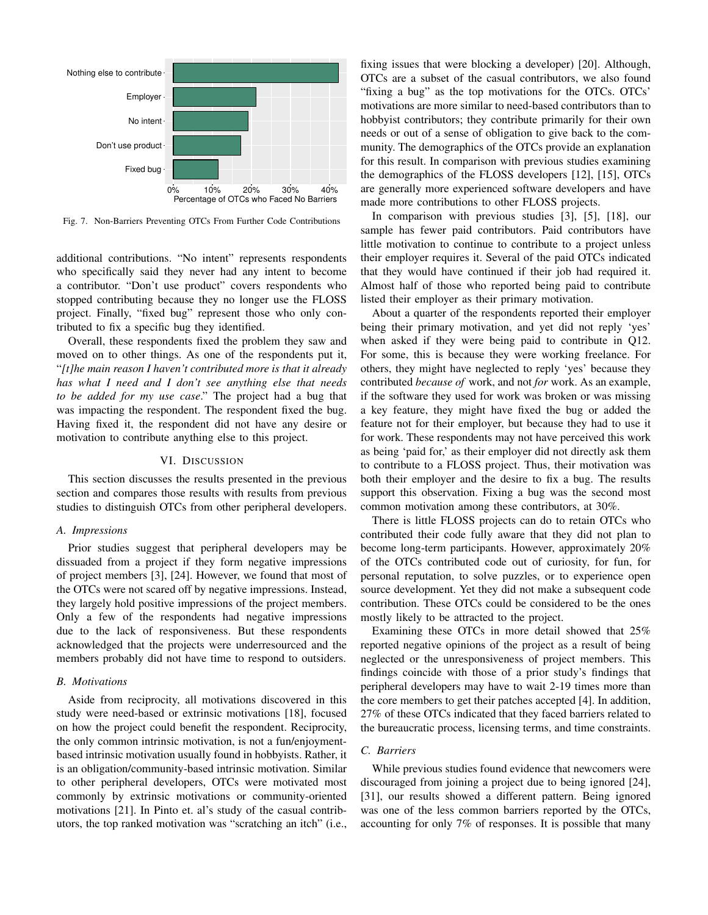

Fig. 7. Non-Barriers Preventing OTCs From Further Code Contributions

additional contributions. "No intent" represents respondents who specifically said they never had any intent to become a contributor. "Don't use product" covers respondents who stopped contributing because they no longer use the FLOSS project. Finally, "fixed bug" represent those who only contributed to fix a specific bug they identified.

Overall, these respondents fixed the problem they saw and moved on to other things. As one of the respondents put it, "*[t]he main reason I haven't contributed more is that it already has what I need and I don't see anything else that needs to be added for my use case*." The project had a bug that was impacting the respondent. The respondent fixed the bug. Having fixed it, the respondent did not have any desire or motivation to contribute anything else to this project.

## VI. DISCUSSION

This section discusses the results presented in the previous section and compares those results with results from previous studies to distinguish OTCs from other peripheral developers.

#### *A. Impressions*

Prior studies suggest that peripheral developers may be dissuaded from a project if they form negative impressions of project members [3], [24]. However, we found that most of the OTCs were not scared off by negative impressions. Instead, they largely hold positive impressions of the project members. Only a few of the respondents had negative impressions due to the lack of responsiveness. But these respondents acknowledged that the projects were underresourced and the members probably did not have time to respond to outsiders.

#### *B. Motivations*

Aside from reciprocity, all motivations discovered in this study were need-based or extrinsic motivations [18], focused on how the project could benefit the respondent. Reciprocity, the only common intrinsic motivation, is not a fun/enjoymentbased intrinsic motivation usually found in hobbyists. Rather, it is an obligation/community-based intrinsic motivation. Similar to other peripheral developers, OTCs were motivated most commonly by extrinsic motivations or community-oriented motivations [21]. In Pinto et. al's study of the casual contributors, the top ranked motivation was "scratching an itch" (i.e.,

fixing issues that were blocking a developer) [20]. Although, OTCs are a subset of the casual contributors, we also found "fixing a bug" as the top motivations for the OTCs. OTCs' motivations are more similar to need-based contributors than to hobbyist contributors; they contribute primarily for their own needs or out of a sense of obligation to give back to the community. The demographics of the OTCs provide an explanation for this result. In comparison with previous studies examining the demographics of the FLOSS developers [12], [15], OTCs are generally more experienced software developers and have made more contributions to other FLOSS projects.

In comparison with previous studies [3], [5], [18], our sample has fewer paid contributors. Paid contributors have little motivation to continue to contribute to a project unless their employer requires it. Several of the paid OTCs indicated that they would have continued if their job had required it. Almost half of those who reported being paid to contribute listed their employer as their primary motivation.

About a quarter of the respondents reported their employer being their primary motivation, and yet did not reply 'yes' when asked if they were being paid to contribute in Q12. For some, this is because they were working freelance. For others, they might have neglected to reply 'yes' because they contributed *because of* work, and not *for* work. As an example, if the software they used for work was broken or was missing a key feature, they might have fixed the bug or added the feature not for their employer, but because they had to use it for work. These respondents may not have perceived this work as being 'paid for,' as their employer did not directly ask them to contribute to a FLOSS project. Thus, their motivation was both their employer and the desire to fix a bug. The results support this observation. Fixing a bug was the second most common motivation among these contributors, at 30%.

There is little FLOSS projects can do to retain OTCs who contributed their code fully aware that they did not plan to become long-term participants. However, approximately 20% of the OTCs contributed code out of curiosity, for fun, for personal reputation, to solve puzzles, or to experience open source development. Yet they did not make a subsequent code contribution. These OTCs could be considered to be the ones mostly likely to be attracted to the project.

Examining these OTCs in more detail showed that 25% reported negative opinions of the project as a result of being neglected or the unresponsiveness of project members. This findings coincide with those of a prior study's findings that peripheral developers may have to wait 2-19 times more than the core members to get their patches accepted [4]. In addition, 27% of these OTCs indicated that they faced barriers related to the bureaucratic process, licensing terms, and time constraints.

# *C. Barriers*

While previous studies found evidence that newcomers were discouraged from joining a project due to being ignored [24], [31], our results showed a different pattern. Being ignored was one of the less common barriers reported by the OTCs, accounting for only 7% of responses. It is possible that many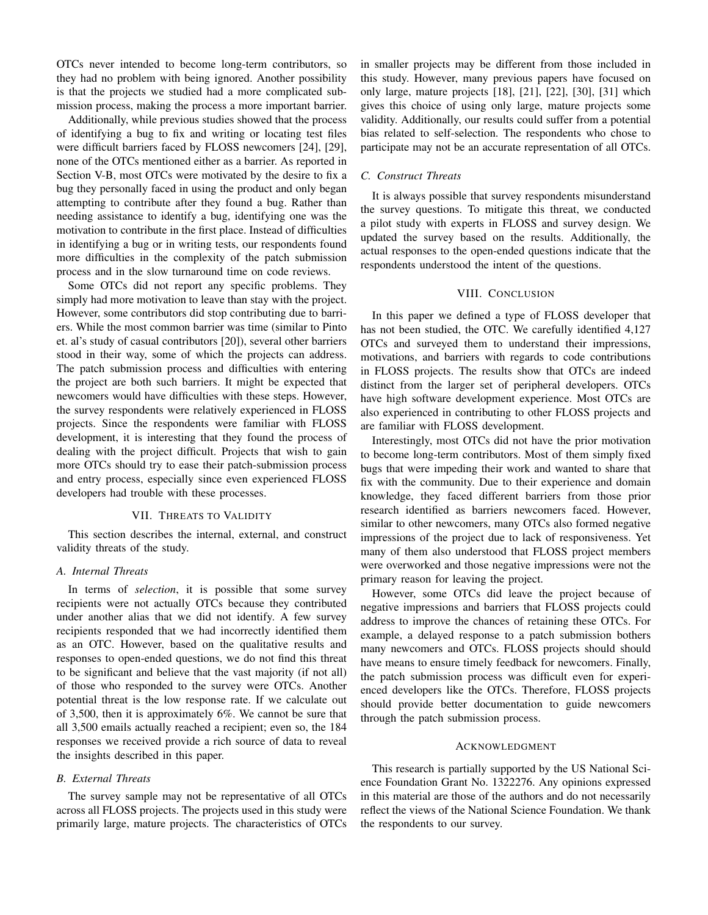OTCs never intended to become long-term contributors, so they had no problem with being ignored. Another possibility is that the projects we studied had a more complicated submission process, making the process a more important barrier.

Additionally, while previous studies showed that the process of identifying a bug to fix and writing or locating test files were difficult barriers faced by FLOSS newcomers [24], [29], none of the OTCs mentioned either as a barrier. As reported in Section V-B, most OTCs were motivated by the desire to fix a bug they personally faced in using the product and only began attempting to contribute after they found a bug. Rather than needing assistance to identify a bug, identifying one was the motivation to contribute in the first place. Instead of difficulties in identifying a bug or in writing tests, our respondents found more difficulties in the complexity of the patch submission process and in the slow turnaround time on code reviews.

Some OTCs did not report any specific problems. They simply had more motivation to leave than stay with the project. However, some contributors did stop contributing due to barriers. While the most common barrier was time (similar to Pinto et. al's study of casual contributors [20]), several other barriers stood in their way, some of which the projects can address. The patch submission process and difficulties with entering the project are both such barriers. It might be expected that newcomers would have difficulties with these steps. However, the survey respondents were relatively experienced in FLOSS projects. Since the respondents were familiar with FLOSS development, it is interesting that they found the process of dealing with the project difficult. Projects that wish to gain more OTCs should try to ease their patch-submission process and entry process, especially since even experienced FLOSS developers had trouble with these processes.

## VII. THREATS TO VALIDITY

This section describes the internal, external, and construct validity threats of the study.

## *A. Internal Threats*

In terms of *selection*, it is possible that some survey recipients were not actually OTCs because they contributed under another alias that we did not identify. A few survey recipients responded that we had incorrectly identified them as an OTC. However, based on the qualitative results and responses to open-ended questions, we do not find this threat to be significant and believe that the vast majority (if not all) of those who responded to the survey were OTCs. Another potential threat is the low response rate. If we calculate out of 3,500, then it is approximately 6%. We cannot be sure that all 3,500 emails actually reached a recipient; even so, the 184 responses we received provide a rich source of data to reveal the insights described in this paper.

### *B. External Threats*

The survey sample may not be representative of all OTCs across all FLOSS projects. The projects used in this study were primarily large, mature projects. The characteristics of OTCs in smaller projects may be different from those included in this study. However, many previous papers have focused on only large, mature projects [18], [21], [22], [30], [31] which gives this choice of using only large, mature projects some validity. Additionally, our results could suffer from a potential bias related to self-selection. The respondents who chose to participate may not be an accurate representation of all OTCs.

#### *C. Construct Threats*

It is always possible that survey respondents misunderstand the survey questions. To mitigate this threat, we conducted a pilot study with experts in FLOSS and survey design. We updated the survey based on the results. Additionally, the actual responses to the open-ended questions indicate that the respondents understood the intent of the questions.

## VIII. CONCLUSION

In this paper we defined a type of FLOSS developer that has not been studied, the OTC. We carefully identified 4,127 OTCs and surveyed them to understand their impressions, motivations, and barriers with regards to code contributions in FLOSS projects. The results show that OTCs are indeed distinct from the larger set of peripheral developers. OTCs have high software development experience. Most OTCs are also experienced in contributing to other FLOSS projects and are familiar with FLOSS development.

Interestingly, most OTCs did not have the prior motivation to become long-term contributors. Most of them simply fixed bugs that were impeding their work and wanted to share that fix with the community. Due to their experience and domain knowledge, they faced different barriers from those prior research identified as barriers newcomers faced. However, similar to other newcomers, many OTCs also formed negative impressions of the project due to lack of responsiveness. Yet many of them also understood that FLOSS project members were overworked and those negative impressions were not the primary reason for leaving the project.

However, some OTCs did leave the project because of negative impressions and barriers that FLOSS projects could address to improve the chances of retaining these OTCs. For example, a delayed response to a patch submission bothers many newcomers and OTCs. FLOSS projects should should have means to ensure timely feedback for newcomers. Finally, the patch submission process was difficult even for experienced developers like the OTCs. Therefore, FLOSS projects should provide better documentation to guide newcomers through the patch submission process.

#### ACKNOWLEDGMENT

This research is partially supported by the US National Science Foundation Grant No. 1322276. Any opinions expressed in this material are those of the authors and do not necessarily reflect the views of the National Science Foundation. We thank the respondents to our survey.